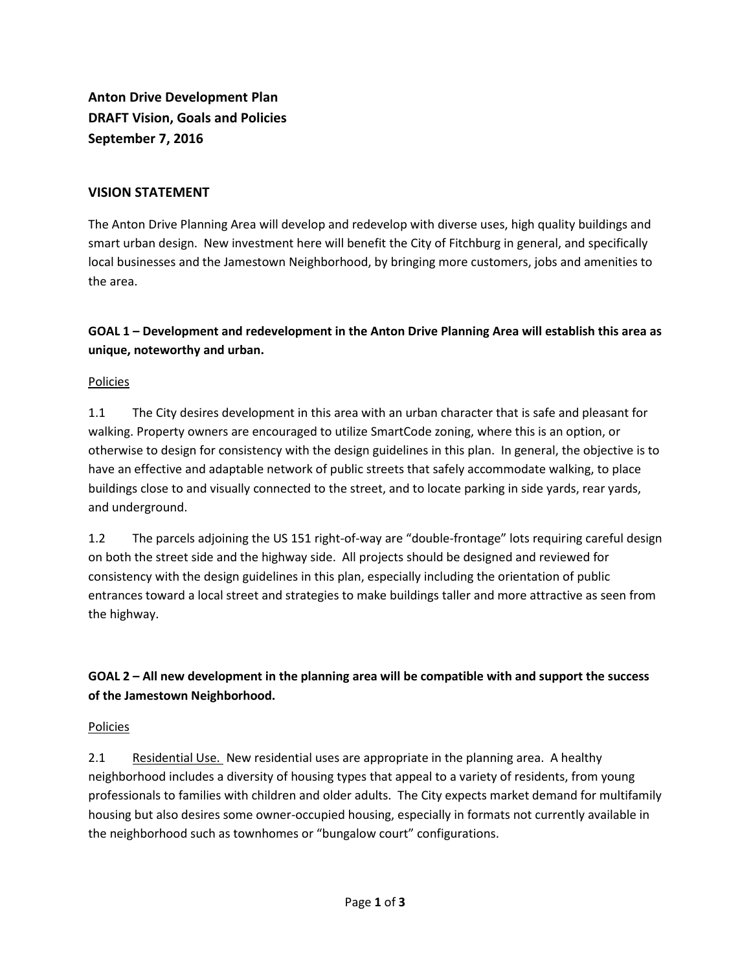**Anton Drive Development Plan DRAFT Vision, Goals and Policies September 7, 2016**

### **VISION STATEMENT**

The Anton Drive Planning Area will develop and redevelop with diverse uses, high quality buildings and smart urban design. New investment here will benefit the City of Fitchburg in general, and specifically local businesses and the Jamestown Neighborhood, by bringing more customers, jobs and amenities to the area.

## **GOAL 1 – Development and redevelopment in the Anton Drive Planning Area will establish this area as unique, noteworthy and urban.**

### Policies

1.1 The City desires development in this area with an urban character that is safe and pleasant for walking. Property owners are encouraged to utilize SmartCode zoning, where this is an option, or otherwise to design for consistency with the design guidelines in this plan. In general, the objective is to have an effective and adaptable network of public streets that safely accommodate walking, to place buildings close to and visually connected to the street, and to locate parking in side yards, rear yards, and underground.

1.2 The parcels adjoining the US 151 right-of-way are "double-frontage" lots requiring careful design on both the street side and the highway side. All projects should be designed and reviewed for consistency with the design guidelines in this plan, especially including the orientation of public entrances toward a local street and strategies to make buildings taller and more attractive as seen from the highway.

# **GOAL 2 – All new development in the planning area will be compatible with and support the success of the Jamestown Neighborhood.**

### Policies

2.1 Residential Use. New residential uses are appropriate in the planning area. A healthy neighborhood includes a diversity of housing types that appeal to a variety of residents, from young professionals to families with children and older adults. The City expects market demand for multifamily housing but also desires some owner-occupied housing, especially in formats not currently available in the neighborhood such as townhomes or "bungalow court" configurations.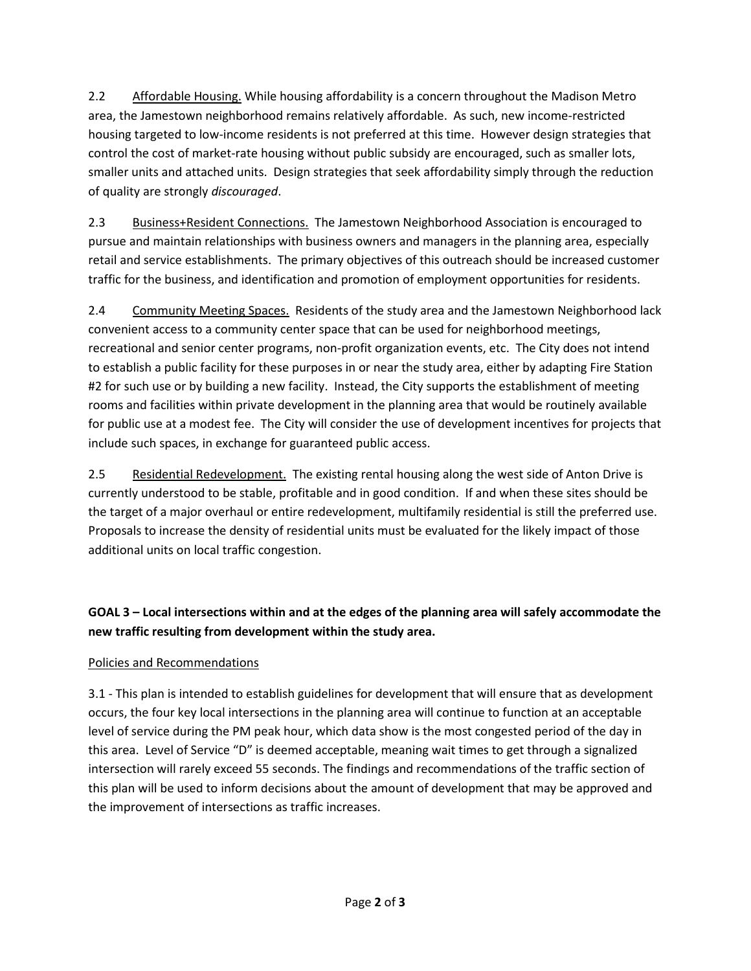2.2 Affordable Housing. While housing affordability is a concern throughout the Madison Metro area, the Jamestown neighborhood remains relatively affordable. As such, new income-restricted housing targeted to low-income residents is not preferred at this time. However design strategies that control the cost of market-rate housing without public subsidy are encouraged, such as smaller lots, smaller units and attached units. Design strategies that seek affordability simply through the reduction of quality are strongly *discouraged*.

2.3 Business+Resident Connections. The Jamestown Neighborhood Association is encouraged to pursue and maintain relationships with business owners and managers in the planning area, especially retail and service establishments. The primary objectives of this outreach should be increased customer traffic for the business, and identification and promotion of employment opportunities for residents.

2.4 Community Meeting Spaces. Residents of the study area and the Jamestown Neighborhood lack convenient access to a community center space that can be used for neighborhood meetings, recreational and senior center programs, non-profit organization events, etc. The City does not intend to establish a public facility for these purposes in or near the study area, either by adapting Fire Station #2 for such use or by building a new facility. Instead, the City supports the establishment of meeting rooms and facilities within private development in the planning area that would be routinely available for public use at a modest fee. The City will consider the use of development incentives for projects that include such spaces, in exchange for guaranteed public access.

2.5 Residential Redevelopment. The existing rental housing along the west side of Anton Drive is currently understood to be stable, profitable and in good condition. If and when these sites should be the target of a major overhaul or entire redevelopment, multifamily residential is still the preferred use. Proposals to increase the density of residential units must be evaluated for the likely impact of those additional units on local traffic congestion.

**GOAL 3 – Local intersections within and at the edges of the planning area will safely accommodate the new traffic resulting from development within the study area.**

## Policies and Recommendations

3.1 - This plan is intended to establish guidelines for development that will ensure that as development occurs, the four key local intersections in the planning area will continue to function at an acceptable level of service during the PM peak hour, which data show is the most congested period of the day in this area. Level of Service "D" is deemed acceptable, meaning wait times to get through a signalized intersection will rarely exceed 55 seconds. The findings and recommendations of the traffic section of this plan will be used to inform decisions about the amount of development that may be approved and the improvement of intersections as traffic increases.